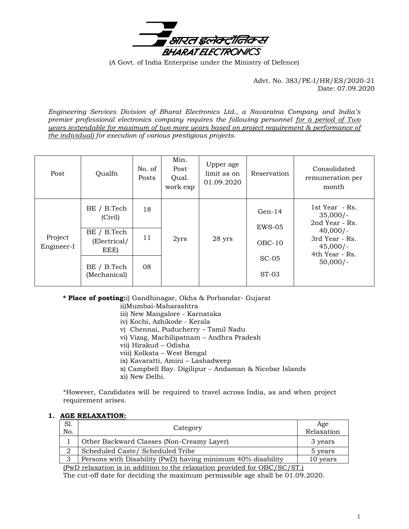

(A Govt. of India Enterprise under the Ministry of Defence)

Advt. No. 383/PE-I/HR/ES/2020-21 Date: 07.09.2020

*Engineering Services Division of Bharat Electronics Ltd., a Navaratna Company and India's premier professional electronics company requires the following personnel for a period of Two years (extendable for maximum of two more years based on project requirement & performance of the individual) for execution of various prestigious projects.*

| Post                  | Qualfn                              | No. of<br>Posts | Min.<br>Post<br>Qual.<br>work exp | Upper age<br>limit as on<br>01.09.2020 | Reservation          | Consolidated<br>remuneration per<br>month                                                                                    |
|-----------------------|-------------------------------------|-----------------|-----------------------------------|----------------------------------------|----------------------|------------------------------------------------------------------------------------------------------------------------------|
| Project<br>Engineer-I | BE / B.Tech<br>(Civil)              | 18              | 2yrs                              | 28 yrs                                 | $Gen-14$<br>$EWS-05$ | 1st Year - Rs.<br>$35,000/-$<br>2nd Year - Rs.<br>$40,000/-$<br>3rd Year - Rs.<br>$45,000/-$<br>4th Year - Rs.<br>$50,000/-$ |
|                       | BE / B.Tech<br>(Electrical/<br>EEE) | 11              |                                   |                                        | $OBC-10$             |                                                                                                                              |
|                       | BE / B.Tech<br>(Mechanical)         | 08              |                                   |                                        | $SC-05$<br>$ST-03$   |                                                                                                                              |

## **\* Place of posting:**i) Gandhinagar, Okha & Porbandar- Gujarat

ii)Mumbai-Maharashtra

- iii) New Mangalore Karnataka
- iv) Kochi, Azhikode Kerala
- v) Chennai, Puducherry Tamil Nadu
- vi) Vizag, Machilipatnam Andhra Pradesh
- vii) Hirakud Odisha
- viii) Kolkata West Bengal
- ix) Kavaratti, Amini Lashadweep
- x) Campbell Bay. Digilipur Andaman & Nicobar Islands
- xi) New Delhi.

\*However, Candidates will be required to travel across India, as and when project requirement arises.

### **1. AGE RELAXATION:**

| S1.<br>No.                                                                               | Category                                                    | Age<br>Relaxation |  |  |
|------------------------------------------------------------------------------------------|-------------------------------------------------------------|-------------------|--|--|
|                                                                                          | Other Backward Classes (Non-Creamy Layer)                   | 3 years           |  |  |
|                                                                                          | Scheduled Caste/ Scheduled Tribe                            | 5 years           |  |  |
| 3                                                                                        | Persons with Disability (PwD) having minimum 40% disability | 10 years          |  |  |
| $(D_{\rm m}D_{\rm m}$ classics is in addition to the relaxation provided for $ODC/CO/CP$ |                                                             |                   |  |  |

(PwD relaxation is in addition to the relaxation provided for OBC/SC/ST.) The cut-off date for deciding the maximum permissible age shall be 01.09.2020.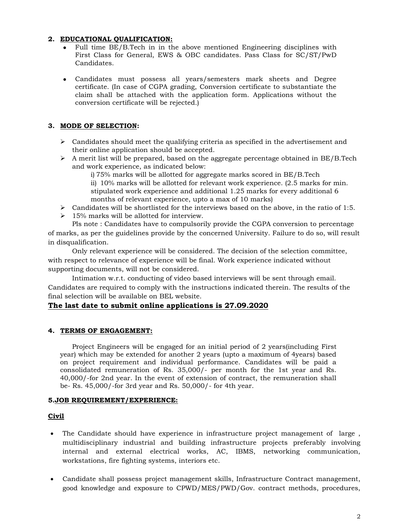## **2. EDUCATIONAL QUALIFICATION:**

- Full time BE/B.Tech in in the above mentioned Engineering disciplines with First Class for General, EWS & OBC candidates. Pass Class for SC/ST/PwD Candidates.
- Candidates must possess all years/semesters mark sheets and Degree certificate. (In case of CGPA grading, Conversion certificate to substantiate the claim shall be attached with the application form. Applications without the conversion certificate will be rejected.)

### **3. MODE OF SELECTION:**

- $\triangleright$  Candidates should meet the qualifying criteria as specified in the advertisement and their online application should be accepted.
- $\triangleright$  A merit list will be prepared, based on the aggregate percentage obtained in BE/B.Tech and work experience, as indicated below:

i) 75% marks will be allotted for aggregate marks scored in BE/B.Tech

ii) 10% marks will be allotted for relevant work experience. (2.5 marks for min. stipulated work experience and additional 1.25 marks for every additional 6 months of relevant experience, upto a max of 10 marks)

- $\triangleright$  Candidates will be shortlisted for the interviews based on the above, in the ratio of 1:5.
- $\geq 15\%$  marks will be allotted for interview.

Pls note : Candidates have to compulsorily provide the CGPA conversion to percentage of marks, as per the guidelines provide by the concerned University. Failure to do so, will result in disqualification.

Only relevant experience will be considered. The decision of the selection committee, with respect to relevance of experience will be final. Work experience indicated without supporting documents, will not be considered.

Intimation w.r.t. conducting of video based interviews will be sent through email. Candidates are required to comply with the instructions indicated therein. The results of the final selection will be available on BEL website.

### **The last date to submit online applications is 27.09.2020**

## **4. TERMS OF ENGAGEMENT:**

Project Engineers will be engaged for an initial period of 2 years(including First year) which may be extended for another 2 years (upto a maximum of 4years) based on project requirement and individual performance. Candidates will be paid a consolidated remuneration of Rs. 35,000/- per month for the 1st year and Rs. 40,000/-for 2nd year. In the event of extension of contract, the remuneration shall be- Rs. 45,000/-for 3rd year and Rs. 50,000/- for 4th year.

### **5.JOB REQUIREMENT/EXPERIENCE:**

### **Civil**

- The Candidate should have experience in infrastructure project management of large , multidisciplinary industrial and building infrastructure projects preferably involving internal and external electrical works, AC, IBMS, networking communication, workstations, fire fighting systems, interiors etc.
- Candidate shall possess project management skills, Infrastructure Contract management, good knowledge and exposure to CPWD/MES/PWD/Gov. contract methods, procedures,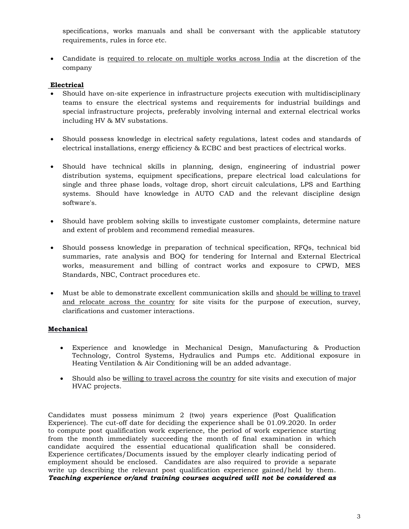specifications, works manuals and shall be conversant with the applicable statutory requirements, rules in force etc.

 Candidate is required to relocate on multiple works across India at the discretion of the company

# **Electrical**

- Should have on-site experience in infrastructure projects execution with multidisciplinary teams to ensure the electrical systems and requirements for industrial buildings and special infrastructure projects, preferably involving internal and external electrical works including HV & MV substations.
- Should possess knowledge in electrical safety regulations, latest codes and standards of electrical installations, energy efficiency & ECBC and best practices of electrical works.
- Should have technical skills in planning, design, engineering of industrial power distribution systems, equipment specifications, prepare electrical load calculations for single and three phase loads, voltage drop, short circuit calculations, LPS and Earthing systems. Should have knowledge in AUTO CAD and the relevant discipline design software's.
- Should have problem solving skills to investigate customer complaints, determine nature and extent of problem and recommend remedial measures.
- Should possess knowledge in preparation of technical specification, RFQs, technical bid summaries, rate analysis and BOQ for tendering for Internal and External Electrical works, measurement and billing of contract works and exposure to CPWD, MES Standards, NBC, Contract procedures etc.
- Must be able to demonstrate excellent communication skills and should be willing to travel and relocate across the country for site visits for the purpose of execution, survey, clarifications and customer interactions.

# **Mechanical**

- Experience and knowledge in Mechanical Design, Manufacturing & Production Technology, Control Systems, Hydraulics and Pumps etc. Additional exposure in Heating Ventilation & Air Conditioning will be an added advantage.
- Should also be willing to travel across the country for site visits and execution of major HVAC projects.

Candidates must possess minimum 2 (two) years experience (Post Qualification Experience). The cut-off date for deciding the experience shall be 01.09.2020. In order to compute post qualification work experience, the period of work experience starting from the month immediately succeeding the month of final examination in which candidate acquired the essential educational qualification shall be considered. Experience certificates/Documents issued by the employer clearly indicating period of employment should be enclosed. Candidates are also required to provide a separate write up describing the relevant post qualification experience gained/held by them. *Teaching experience or/and training courses acquired will not be considered as*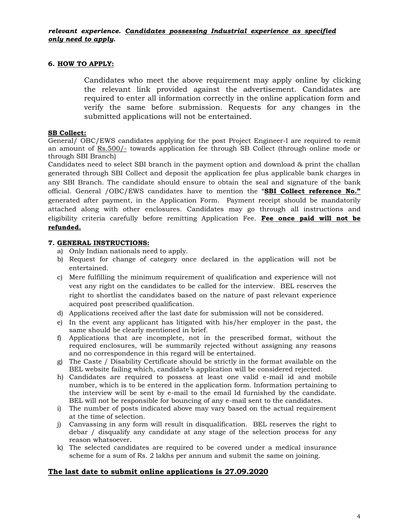## **6. HOW TO APPLY:**

Candidates who meet the above requirement may apply online by clicking the relevant link provided against the advertisement. Candidates are required to enter all information correctly in the online application form and verify the same before submission. Requests for any changes in the submitted applications will not be entertained.

## **SB Collect:**

General/ OBC/EWS candidates applying for the post Project Engineer-I are required to remit an amount of Rs.500/- towards application fee through SB Collect (through online mode or through SBI Branch)

Candidates need to select SBI branch in the payment option and download & print the challan generated through SBI Collect and deposit the application fee plus applicable bank charges in any SBI Branch. The candidate should ensure to obtain the seal and signature of the bank official. General /OBC/EWS candidates have to mention the "**SBI Collect reference No."** generated after payment, in the Application Form. Payment receipt should be mandatorily attached along with other enclosures. Candidates may go through all instructions and eligibility criteria carefully before remitting Application Fee. **Fee once paid will not be refunded.**

## **7. GENERAL INSTRUCTIONS:**

- a) Only Indian nationals need to apply.
- b) Request for change of category once declared in the application will not be entertained.
- c) Mere fulfilling the minimum requirement of qualification and experience will not vest any right on the candidates to be called for the interview. BEL reserves the right to shortlist the candidates based on the nature of past relevant experience acquired post prescribed qualification.
- d) Applications received after the last date for submission will not be considered.
- e) In the event any applicant has litigated with his/her employer in the past, the same should be clearly mentioned in brief.
- f) Applications that are incomplete, not in the prescribed format, without the required enclosures, will be summarily rejected without assigning any reasons and no correspondence in this regard will be entertained.
- g) The Caste / Disability Certificate should be strictly in the format available on the BEL website failing which, candidate's application will be considered rejected.
- h) Candidates are required to possess at least one valid e-mail id and mobile number, which is to be entered in the application form. Information pertaining to the interview will be sent by e-mail to the email Id furnished by the candidate. BEL will not be responsible for bouncing of any e-mail sent to the candidates.
- i) The number of posts indicated above may vary based on the actual requirement at the time of selection.
- j) Canvassing in any form will result in disqualification. BEL reserves the right to debar / disqualify any candidate at any stage of the selection process for any reason whatsoever.
- k) The selected candidates are required to be covered under a medical insurance scheme for a sum of Rs. 2 lakhs per annum and submit the same on joining.

## **The last date to submit online applications is 27.09.2020**